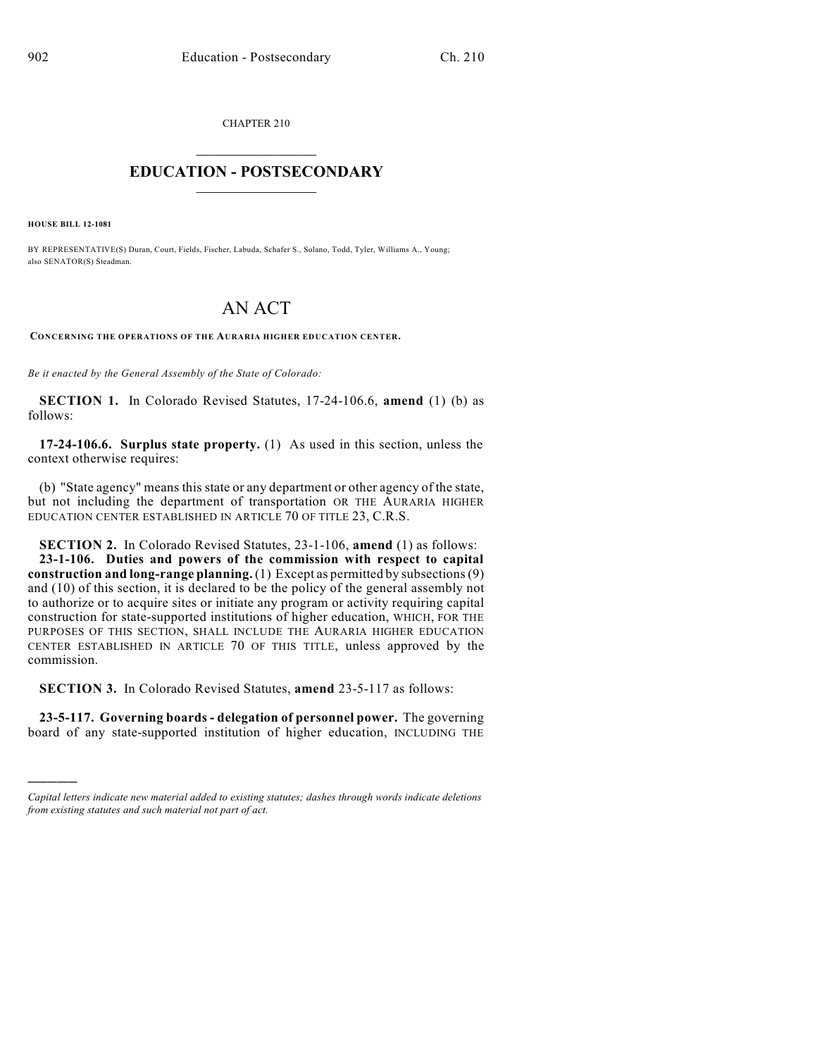CHAPTER 210

## $\mathcal{L}_\text{max}$  . The set of the set of the set of the set of the set of the set of the set of the set of the set of the set of the set of the set of the set of the set of the set of the set of the set of the set of the set **EDUCATION - POSTSECONDARY**  $\frac{1}{2}$  ,  $\frac{1}{2}$  ,  $\frac{1}{2}$  ,  $\frac{1}{2}$  ,  $\frac{1}{2}$  ,  $\frac{1}{2}$  ,  $\frac{1}{2}$

**HOUSE BILL 12-1081**

)))))

BY REPRESENTATIVE(S) Duran, Court, Fields, Fischer, Labuda, Schafer S., Solano, Todd, Tyler, Williams A., Young; also SENATOR(S) Steadman.

## AN ACT

**CONCERNING THE OPERATIONS OF THE AURARIA HIGHER EDUCATION CENTER.**

*Be it enacted by the General Assembly of the State of Colorado:*

**SECTION 1.** In Colorado Revised Statutes, 17-24-106.6, **amend** (1) (b) as follows:

**17-24-106.6. Surplus state property.** (1) As used in this section, unless the context otherwise requires:

(b) "State agency" means this state or any department or other agency of the state, but not including the department of transportation OR THE AURARIA HIGHER EDUCATION CENTER ESTABLISHED IN ARTICLE 70 OF TITLE 23, C.R.S.

**SECTION 2.** In Colorado Revised Statutes, 23-1-106, **amend** (1) as follows: **23-1-106. Duties and powers of the commission with respect to capital construction and long-range planning.** (1) Except as permitted by subsections(9) and (10) of this section, it is declared to be the policy of the general assembly not to authorize or to acquire sites or initiate any program or activity requiring capital construction for state-supported institutions of higher education, WHICH, FOR THE PURPOSES OF THIS SECTION, SHALL INCLUDE THE AURARIA HIGHER EDUCATION CENTER ESTABLISHED IN ARTICLE 70 OF THIS TITLE, unless approved by the commission.

**SECTION 3.** In Colorado Revised Statutes, **amend** 23-5-117 as follows:

**23-5-117. Governing boards - delegation of personnel power.** The governing board of any state-supported institution of higher education, INCLUDING THE

*Capital letters indicate new material added to existing statutes; dashes through words indicate deletions from existing statutes and such material not part of act.*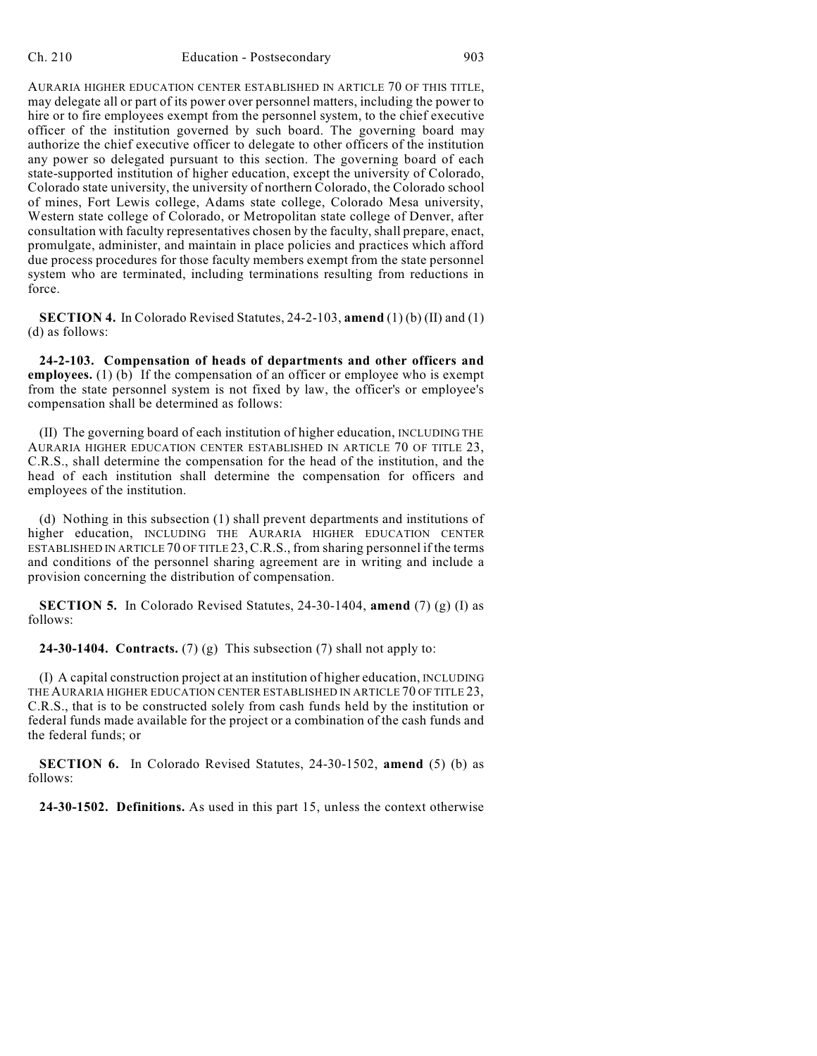AURARIA HIGHER EDUCATION CENTER ESTABLISHED IN ARTICLE 70 OF THIS TITLE, may delegate all or part of its power over personnel matters, including the power to hire or to fire employees exempt from the personnel system, to the chief executive officer of the institution governed by such board. The governing board may authorize the chief executive officer to delegate to other officers of the institution any power so delegated pursuant to this section. The governing board of each state-supported institution of higher education, except the university of Colorado, Colorado state university, the university of northern Colorado, the Colorado school of mines, Fort Lewis college, Adams state college, Colorado Mesa university, Western state college of Colorado, or Metropolitan state college of Denver, after consultation with faculty representatives chosen by the faculty, shall prepare, enact, promulgate, administer, and maintain in place policies and practices which afford due process procedures for those faculty members exempt from the state personnel system who are terminated, including terminations resulting from reductions in force.

**SECTION 4.** In Colorado Revised Statutes, 24-2-103, **amend** (1) (b) (II) and (1) (d) as follows:

**24-2-103. Compensation of heads of departments and other officers and employees.** (1) (b) If the compensation of an officer or employee who is exempt from the state personnel system is not fixed by law, the officer's or employee's compensation shall be determined as follows:

(II) The governing board of each institution of higher education, INCLUDING THE AURARIA HIGHER EDUCATION CENTER ESTABLISHED IN ARTICLE 70 OF TITLE 23, C.R.S., shall determine the compensation for the head of the institution, and the head of each institution shall determine the compensation for officers and employees of the institution.

(d) Nothing in this subsection (1) shall prevent departments and institutions of higher education, INCLUDING THE AURARIA HIGHER EDUCATION CENTER ESTABLISHED IN ARTICLE 70 OF TITLE 23, C.R.S., from sharing personnel if the terms and conditions of the personnel sharing agreement are in writing and include a provision concerning the distribution of compensation.

**SECTION 5.** In Colorado Revised Statutes, 24-30-1404, **amend** (7) (g) (I) as follows:

**24-30-1404. Contracts.** (7) (g) This subsection (7) shall not apply to:

(I) A capital construction project at an institution of higher education, INCLUDING THE AURARIA HIGHER EDUCATION CENTER ESTABLISHED IN ARTICLE 70 OF TITLE 23, C.R.S., that is to be constructed solely from cash funds held by the institution or federal funds made available for the project or a combination of the cash funds and the federal funds; or

**SECTION 6.** In Colorado Revised Statutes, 24-30-1502, **amend** (5) (b) as follows:

**24-30-1502. Definitions.** As used in this part 15, unless the context otherwise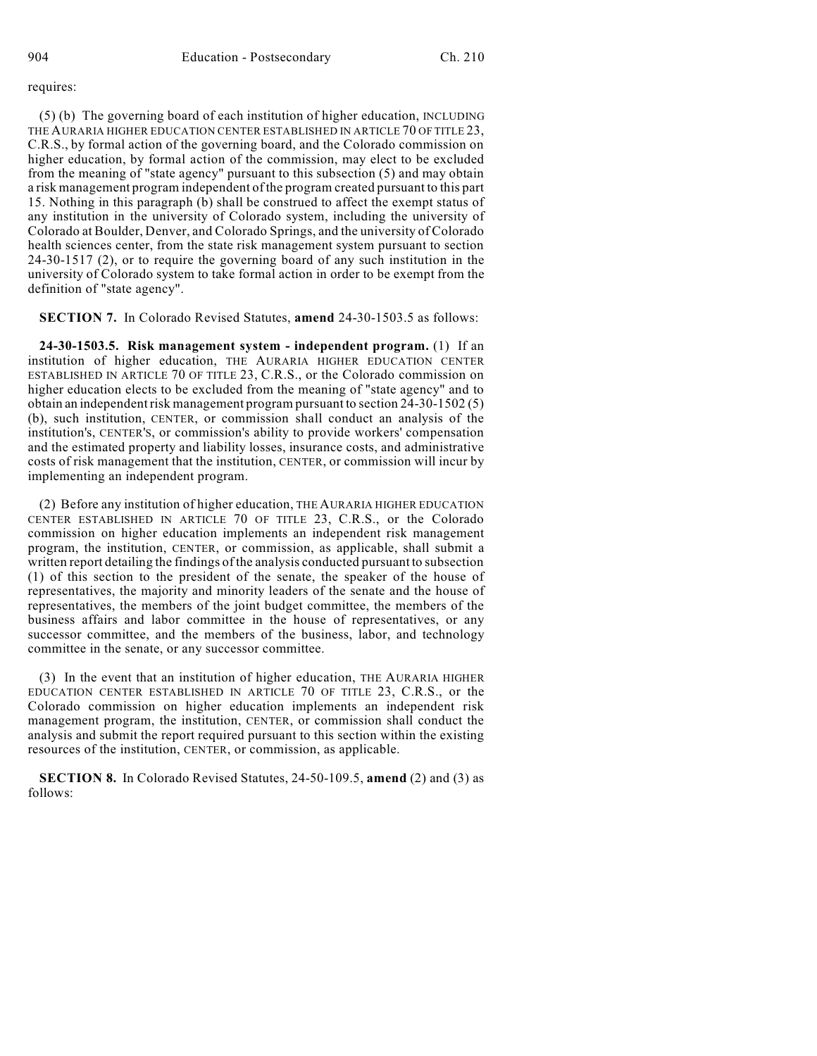requires:

(5) (b) The governing board of each institution of higher education, INCLUDING THE AURARIA HIGHER EDUCATION CENTER ESTABLISHED IN ARTICLE 70 OF TITLE 23, C.R.S., by formal action of the governing board, and the Colorado commission on higher education, by formal action of the commission, may elect to be excluded from the meaning of "state agency" pursuant to this subsection (5) and may obtain a risk management program independent of the program created pursuant to this part 15. Nothing in this paragraph (b) shall be construed to affect the exempt status of any institution in the university of Colorado system, including the university of Colorado at Boulder, Denver, and Colorado Springs, and the university of Colorado health sciences center, from the state risk management system pursuant to section 24-30-1517 (2), or to require the governing board of any such institution in the university of Colorado system to take formal action in order to be exempt from the definition of "state agency".

**SECTION 7.** In Colorado Revised Statutes, **amend** 24-30-1503.5 as follows:

**24-30-1503.5. Risk management system - independent program.** (1) If an institution of higher education, THE AURARIA HIGHER EDUCATION CENTER ESTABLISHED IN ARTICLE 70 OF TITLE 23, C.R.S., or the Colorado commission on higher education elects to be excluded from the meaning of "state agency" and to obtain an independent risk management program pursuant to section 24-30-1502 (5) (b), such institution, CENTER, or commission shall conduct an analysis of the institution's, CENTER'S, or commission's ability to provide workers' compensation and the estimated property and liability losses, insurance costs, and administrative costs of risk management that the institution, CENTER, or commission will incur by implementing an independent program.

(2) Before any institution of higher education, THE AURARIA HIGHER EDUCATION CENTER ESTABLISHED IN ARTICLE 70 OF TITLE 23, C.R.S., or the Colorado commission on higher education implements an independent risk management program, the institution, CENTER, or commission, as applicable, shall submit a written report detailing the findings of the analysis conducted pursuant to subsection (1) of this section to the president of the senate, the speaker of the house of representatives, the majority and minority leaders of the senate and the house of representatives, the members of the joint budget committee, the members of the business affairs and labor committee in the house of representatives, or any successor committee, and the members of the business, labor, and technology committee in the senate, or any successor committee.

(3) In the event that an institution of higher education, THE AURARIA HIGHER EDUCATION CENTER ESTABLISHED IN ARTICLE 70 OF TITLE 23, C.R.S., or the Colorado commission on higher education implements an independent risk management program, the institution, CENTER, or commission shall conduct the analysis and submit the report required pursuant to this section within the existing resources of the institution, CENTER, or commission, as applicable.

**SECTION 8.** In Colorado Revised Statutes, 24-50-109.5, **amend** (2) and (3) as follows: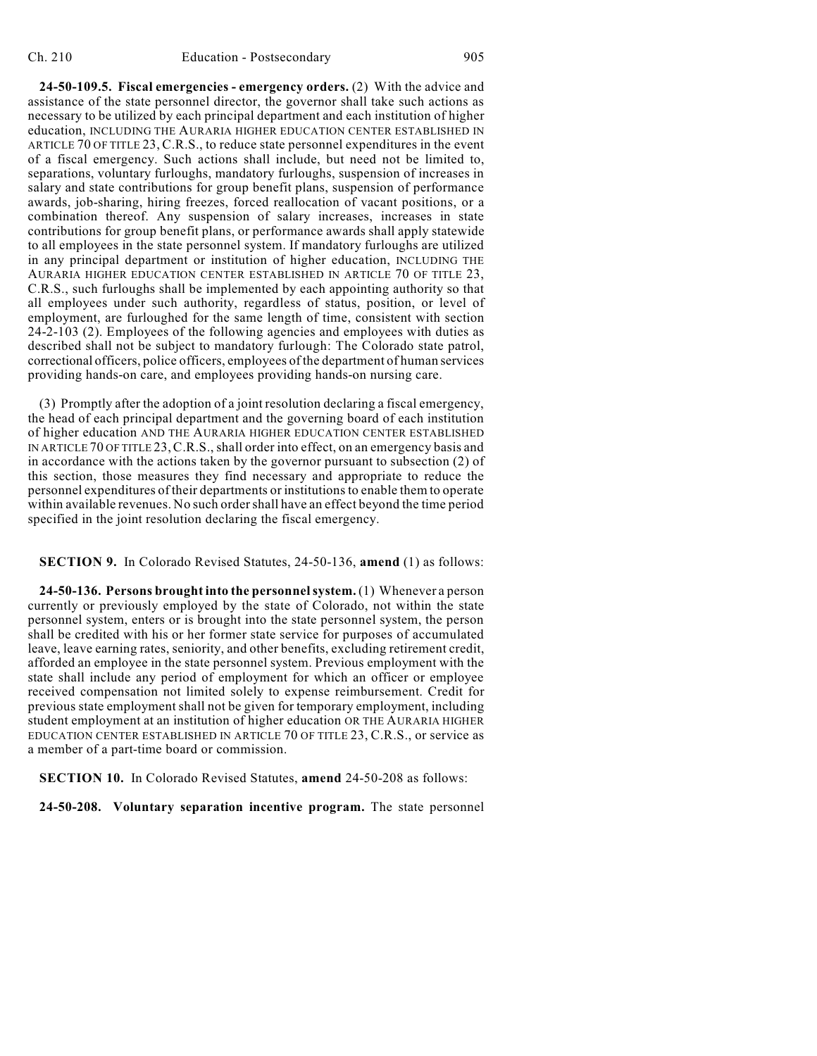**24-50-109.5. Fiscal emergencies - emergency orders.** (2) With the advice and assistance of the state personnel director, the governor shall take such actions as necessary to be utilized by each principal department and each institution of higher education, INCLUDING THE AURARIA HIGHER EDUCATION CENTER ESTABLISHED IN ARTICLE 70 OF TITLE 23, C.R.S., to reduce state personnel expenditures in the event of a fiscal emergency. Such actions shall include, but need not be limited to, separations, voluntary furloughs, mandatory furloughs, suspension of increases in salary and state contributions for group benefit plans, suspension of performance awards, job-sharing, hiring freezes, forced reallocation of vacant positions, or a combination thereof. Any suspension of salary increases, increases in state contributions for group benefit plans, or performance awards shall apply statewide to all employees in the state personnel system. If mandatory furloughs are utilized in any principal department or institution of higher education, INCLUDING THE AURARIA HIGHER EDUCATION CENTER ESTABLISHED IN ARTICLE 70 OF TITLE 23, C.R.S., such furloughs shall be implemented by each appointing authority so that all employees under such authority, regardless of status, position, or level of employment, are furloughed for the same length of time, consistent with section 24-2-103 (2). Employees of the following agencies and employees with duties as described shall not be subject to mandatory furlough: The Colorado state patrol, correctional officers, police officers, employees of the department of human services providing hands-on care, and employees providing hands-on nursing care.

(3) Promptly after the adoption of a joint resolution declaring a fiscal emergency, the head of each principal department and the governing board of each institution of higher education AND THE AURARIA HIGHER EDUCATION CENTER ESTABLISHED IN ARTICLE 70 OF TITLE 23,C.R.S., shall order into effect, on an emergency basis and in accordance with the actions taken by the governor pursuant to subsection (2) of this section, those measures they find necessary and appropriate to reduce the personnel expenditures of their departments or institutionsto enable them to operate within available revenues. No such ordershall have an effect beyond the time period specified in the joint resolution declaring the fiscal emergency.

**SECTION 9.** In Colorado Revised Statutes, 24-50-136, **amend** (1) as follows:

**24-50-136. Persons brought into the personnelsystem.** (1) Whenever a person currently or previously employed by the state of Colorado, not within the state personnel system, enters or is brought into the state personnel system, the person shall be credited with his or her former state service for purposes of accumulated leave, leave earning rates, seniority, and other benefits, excluding retirement credit, afforded an employee in the state personnel system. Previous employment with the state shall include any period of employment for which an officer or employee received compensation not limited solely to expense reimbursement. Credit for previous state employment shall not be given for temporary employment, including student employment at an institution of higher education OR THE AURARIA HIGHER EDUCATION CENTER ESTABLISHED IN ARTICLE 70 OF TITLE 23, C.R.S., or service as a member of a part-time board or commission.

**SECTION 10.** In Colorado Revised Statutes, **amend** 24-50-208 as follows:

**24-50-208. Voluntary separation incentive program.** The state personnel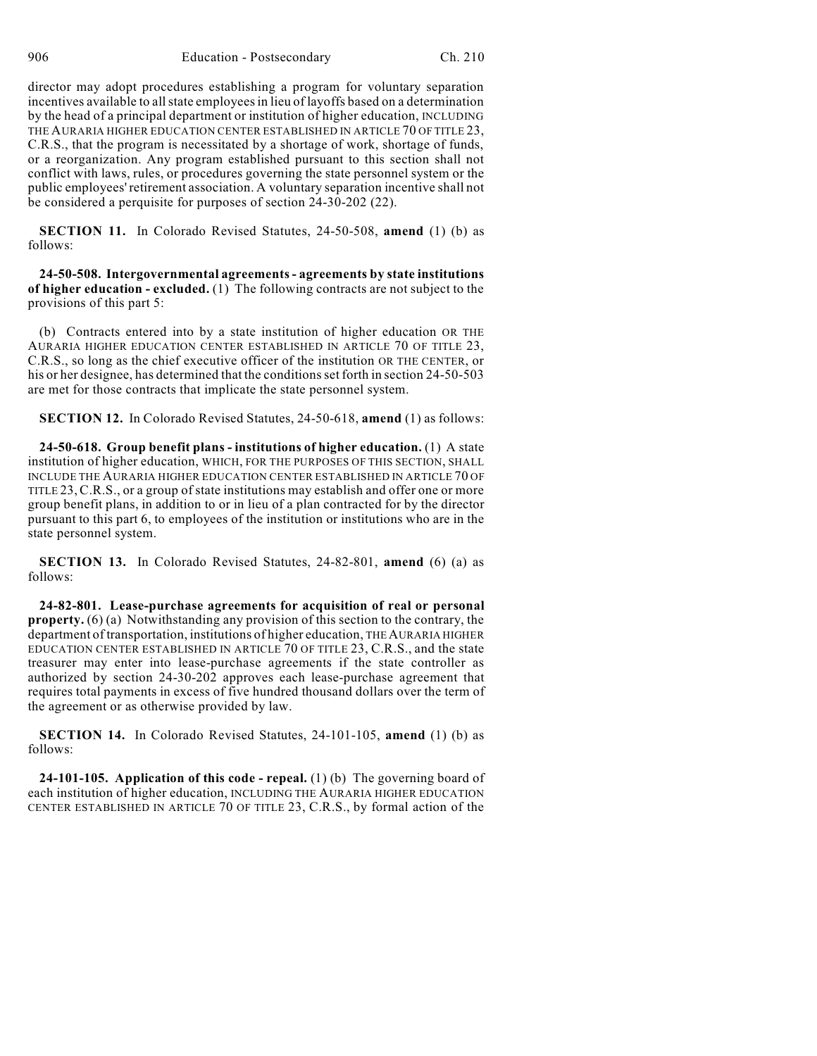director may adopt procedures establishing a program for voluntary separation incentives available to allstate employeesin lieu of layoffs based on a determination by the head of a principal department or institution of higher education, INCLUDING THE AURARIA HIGHER EDUCATION CENTER ESTABLISHED IN ARTICLE 70 OF TITLE 23, C.R.S., that the program is necessitated by a shortage of work, shortage of funds, or a reorganization. Any program established pursuant to this section shall not conflict with laws, rules, or procedures governing the state personnel system or the public employees'retirement association. A voluntary separation incentive shall not be considered a perquisite for purposes of section 24-30-202 (22).

**SECTION 11.** In Colorado Revised Statutes, 24-50-508, **amend** (1) (b) as follows:

**24-50-508. Intergovernmental agreements- agreements by state institutions of higher education - excluded.** (1) The following contracts are not subject to the provisions of this part 5:

(b) Contracts entered into by a state institution of higher education OR THE AURARIA HIGHER EDUCATION CENTER ESTABLISHED IN ARTICLE 70 OF TITLE 23, C.R.S., so long as the chief executive officer of the institution OR THE CENTER, or his or her designee, has determined that the conditions set forth in section 24-50-503 are met for those contracts that implicate the state personnel system.

**SECTION 12.** In Colorado Revised Statutes, 24-50-618, **amend** (1) as follows:

**24-50-618. Group benefit plans - institutions of higher education.** (1) A state institution of higher education, WHICH, FOR THE PURPOSES OF THIS SECTION, SHALL INCLUDE THE AURARIA HIGHER EDUCATION CENTER ESTABLISHED IN ARTICLE 70 OF TITLE 23,C.R.S., or a group of state institutions may establish and offer one or more group benefit plans, in addition to or in lieu of a plan contracted for by the director pursuant to this part 6, to employees of the institution or institutions who are in the state personnel system.

**SECTION 13.** In Colorado Revised Statutes, 24-82-801, **amend** (6) (a) as follows:

**24-82-801. Lease-purchase agreements for acquisition of real or personal property.** (6) (a) Notwithstanding any provision of this section to the contrary, the department of transportation, institutions of higher education, THEAURARIA HIGHER EDUCATION CENTER ESTABLISHED IN ARTICLE 70 OF TITLE 23, C.R.S., and the state treasurer may enter into lease-purchase agreements if the state controller as authorized by section 24-30-202 approves each lease-purchase agreement that requires total payments in excess of five hundred thousand dollars over the term of the agreement or as otherwise provided by law.

**SECTION 14.** In Colorado Revised Statutes, 24-101-105, **amend** (1) (b) as follows:

**24-101-105. Application of this code - repeal.** (1) (b) The governing board of each institution of higher education, INCLUDING THE AURARIA HIGHER EDUCATION CENTER ESTABLISHED IN ARTICLE 70 OF TITLE 23, C.R.S., by formal action of the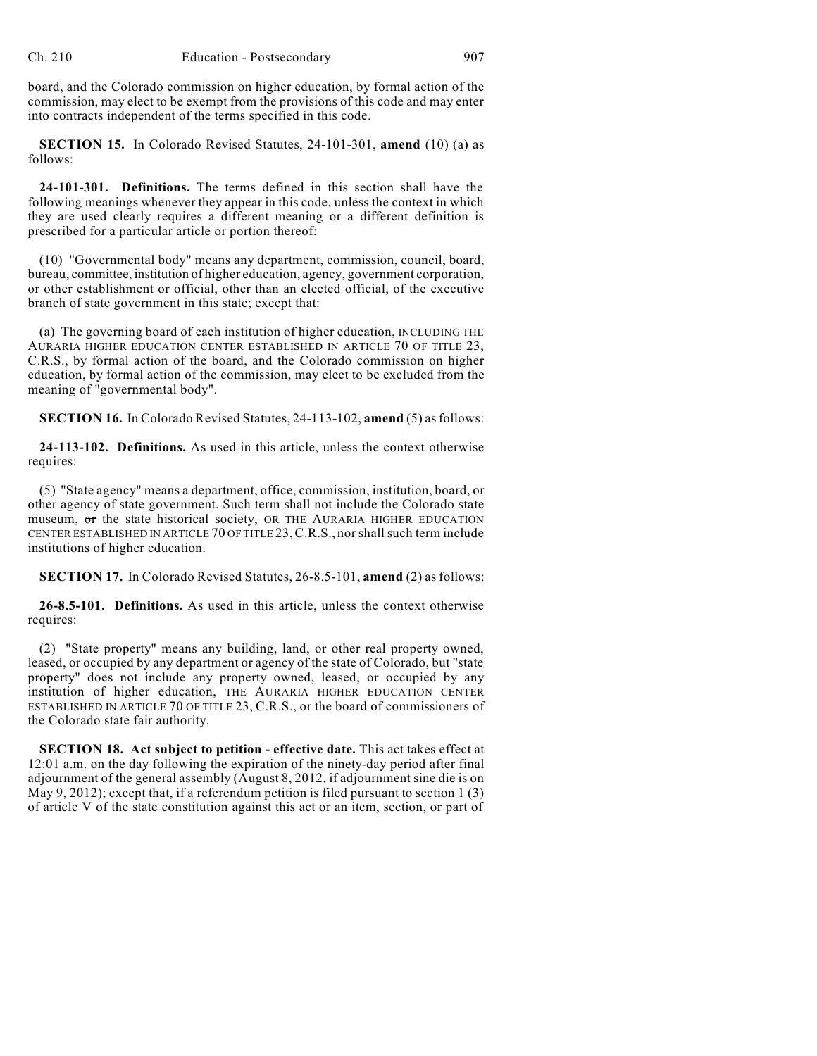board, and the Colorado commission on higher education, by formal action of the commission, may elect to be exempt from the provisions of this code and may enter into contracts independent of the terms specified in this code.

**SECTION 15.** In Colorado Revised Statutes, 24-101-301, **amend** (10) (a) as follows:

**24-101-301. Definitions.** The terms defined in this section shall have the following meanings whenever they appear in this code, unless the context in which they are used clearly requires a different meaning or a different definition is prescribed for a particular article or portion thereof:

(10) "Governmental body" means any department, commission, council, board, bureau, committee, institution of higher education, agency, government corporation, or other establishment or official, other than an elected official, of the executive branch of state government in this state; except that:

(a) The governing board of each institution of higher education, INCLUDING THE AURARIA HIGHER EDUCATION CENTER ESTABLISHED IN ARTICLE 70 OF TITLE 23, C.R.S., by formal action of the board, and the Colorado commission on higher education, by formal action of the commission, may elect to be excluded from the meaning of "governmental body".

**SECTION 16.** In Colorado Revised Statutes, 24-113-102, **amend** (5) asfollows:

**24-113-102. Definitions.** As used in this article, unless the context otherwise requires:

(5) "State agency" means a department, office, commission, institution, board, or other agency of state government. Such term shall not include the Colorado state museum, or the state historical society, OR THE AURARIA HIGHER EDUCATION CENTER ESTABLISHED IN ARTICLE 70 OF TITLE 23,C.R.S., nor shallsuch term include institutions of higher education.

**SECTION 17.** In Colorado Revised Statutes, 26-8.5-101, **amend** (2) as follows:

**26-8.5-101. Definitions.** As used in this article, unless the context otherwise requires:

(2) "State property" means any building, land, or other real property owned, leased, or occupied by any department or agency of the state of Colorado, but "state property" does not include any property owned, leased, or occupied by any institution of higher education, THE AURARIA HIGHER EDUCATION CENTER ESTABLISHED IN ARTICLE 70 OF TITLE 23, C.R.S., or the board of commissioners of the Colorado state fair authority.

**SECTION 18. Act subject to petition - effective date.** This act takes effect at 12:01 a.m. on the day following the expiration of the ninety-day period after final adjournment of the general assembly (August 8, 2012, if adjournment sine die is on May 9, 2012); except that, if a referendum petition is filed pursuant to section 1 (3) of article V of the state constitution against this act or an item, section, or part of